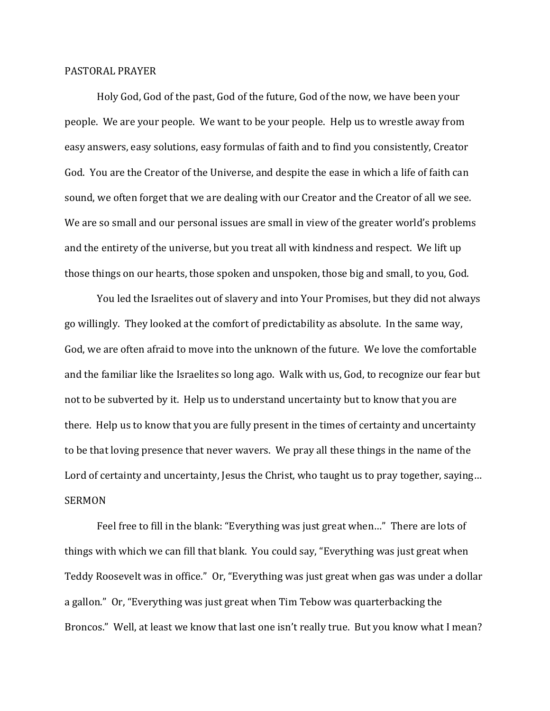## PASTORAL PRAYER

 Holy God, God of the past, God of the future, God of the now, we have been your people. We are your people. We want to be your people. Help us to wrestle away from easy answers, easy solutions, easy formulas of faith and to find you consistently, Creator God. You are the Creator of the Universe, and despite the ease in which a life of faith can sound, we often forget that we are dealing with our Creator and the Creator of all we see. We are so small and our personal issues are small in view of the greater world's problems and the entirety of the universe, but you treat all with kindness and respect. We lift up those things on our hearts, those spoken and unspoken, those big and small, to you, God.

 You led the Israelites out of slavery and into Your Promises, but they did not always go willingly. They looked at the comfort of predictability as absolute. In the same way, God, we are often afraid to move into the unknown of the future. We love the comfortable and the familiar like the Israelites so long ago. Walk with us, God, to recognize our fear but not to be subverted by it. Help us to understand uncertainty but to know that you are there. Help us to know that you are fully present in the times of certainty and uncertainty to be that loving presence that never wavers. We pray all these things in the name of the Lord of certainty and uncertainty, Jesus the Christ, who taught us to pray together, saying... **SERMON** 

 Feel free to fill in the blank: "Everything was just great when…" There are lots of things with which we can fill that blank. You could say, "Everything was just great when Teddy Roosevelt was in office." Or, "Everything was just great when gas was under a dollar a gallon." Or, "Everything was just great when Tim Tebow was quarterbacking the Broncos." Well, at least we know that last one isn't really true. But you know what I mean?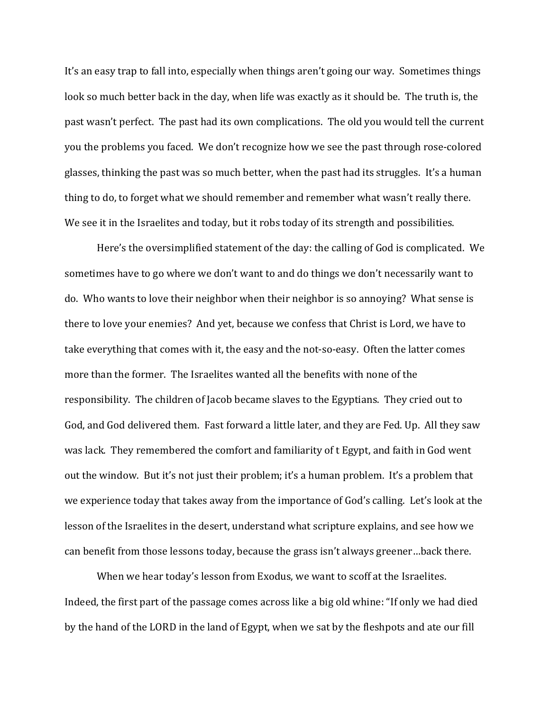It's an easy trap to fall into, especially when things aren't going our way. Sometimes things look so much better back in the day, when life was exactly as it should be. The truth is, the past wasn't perfect. The past had its own complications. The old you would tell the current you the problems you faced. We don't recognize how we see the past through rose-colored glasses, thinking the past was so much better, when the past had its struggles. It's a human thing to do, to forget what we should remember and remember what wasn't really there. We see it in the Israelites and today, but it robs today of its strength and possibilities.

 Here's the oversimplified statement of the day: the calling of God is complicated. We sometimes have to go where we don't want to and do things we don't necessarily want to do. Who wants to love their neighbor when their neighbor is so annoying? What sense is there to love your enemies? And yet, because we confess that Christ is Lord, we have to take everything that comes with it, the easy and the not-so-easy. Often the latter comes more than the former. The Israelites wanted all the benefits with none of the responsibility. The children of Jacob became slaves to the Egyptians. They cried out to God, and God delivered them. Fast forward a little later, and they are Fed. Up. All they saw was lack. They remembered the comfort and familiarity of t Egypt, and faith in God went out the window. But it's not just their problem; it's a human problem. It's a problem that we experience today that takes away from the importance of God's calling. Let's look at the lesson of the Israelites in the desert, understand what scripture explains, and see how we can benefit from those lessons today, because the grass isn't always greener…back there.

 When we hear today's lesson from Exodus, we want to scoff at the Israelites. Indeed, the first part of the passage comes across like a big old whine: "If only we had died by the hand of the LORD in the land of Egypt, when we sat by the fleshpots and ate our fill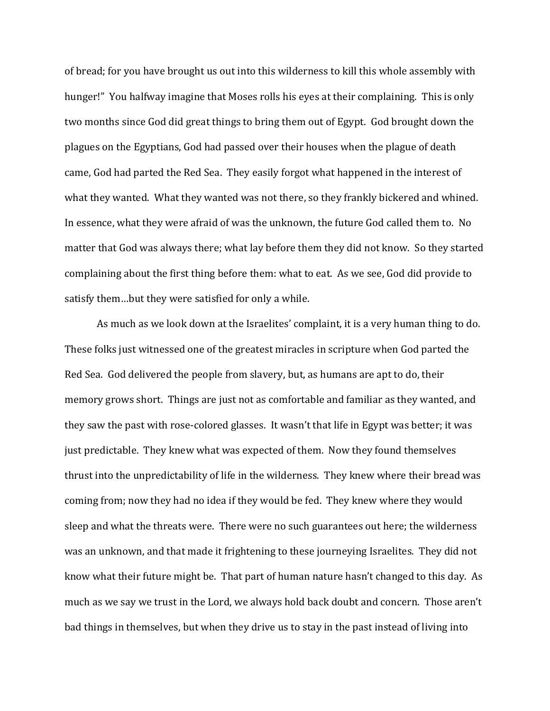of bread; for you have brought us out into this wilderness to kill this whole assembly with hunger!" You halfway imagine that Moses rolls his eyes at their complaining. This is only two months since God did great things to bring them out of Egypt. God brought down the plagues on the Egyptians, God had passed over their houses when the plague of death came, God had parted the Red Sea. They easily forgot what happened in the interest of what they wanted. What they wanted was not there, so they frankly bickered and whined. In essence, what they were afraid of was the unknown, the future God called them to. No matter that God was always there; what lay before them they did not know. So they started complaining about the first thing before them: what to eat. As we see, God did provide to satisfy them…but they were satisfied for only a while.

 As much as we look down at the Israelites' complaint, it is a very human thing to do. These folks just witnessed one of the greatest miracles in scripture when God parted the Red Sea. God delivered the people from slavery, but, as humans are apt to do, their memory grows short. Things are just not as comfortable and familiar as they wanted, and they saw the past with rose-colored glasses. It wasn't that life in Egypt was better; it was just predictable. They knew what was expected of them. Now they found themselves thrust into the unpredictability of life in the wilderness. They knew where their bread was coming from; now they had no idea if they would be fed. They knew where they would sleep and what the threats were. There were no such guarantees out here; the wilderness was an unknown, and that made it frightening to these journeying Israelites. They did not know what their future might be. That part of human nature hasn't changed to this day. As much as we say we trust in the Lord, we always hold back doubt and concern. Those aren't bad things in themselves, but when they drive us to stay in the past instead of living into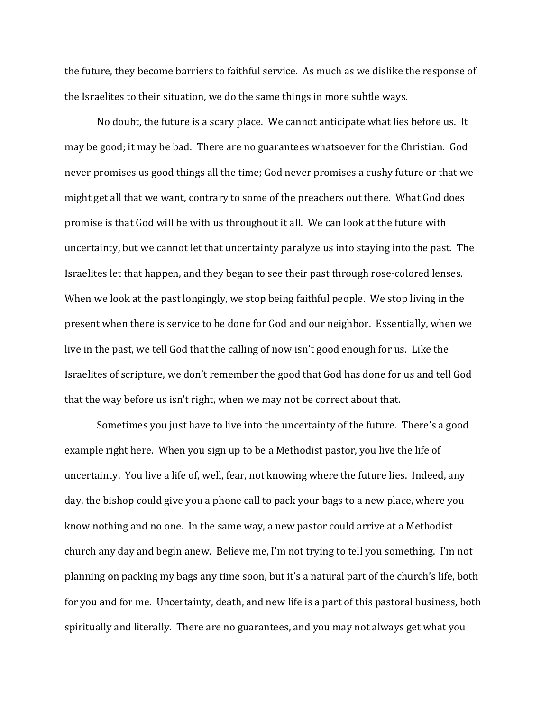the future, they become barriers to faithful service. As much as we dislike the response of the Israelites to their situation, we do the same things in more subtle ways.

 No doubt, the future is a scary place. We cannot anticipate what lies before us. It may be good; it may be bad. There are no guarantees whatsoever for the Christian. God never promises us good things all the time; God never promises a cushy future or that we might get all that we want, contrary to some of the preachers out there. What God does promise is that God will be with us throughout it all. We can look at the future with uncertainty, but we cannot let that uncertainty paralyze us into staying into the past. The Israelites let that happen, and they began to see their past through rose-colored lenses. When we look at the past longingly, we stop being faithful people. We stop living in the present when there is service to be done for God and our neighbor. Essentially, when we live in the past, we tell God that the calling of now isn't good enough for us. Like the Israelites of scripture, we don't remember the good that God has done for us and tell God that the way before us isn't right, when we may not be correct about that.

 Sometimes you just have to live into the uncertainty of the future. There's a good example right here. When you sign up to be a Methodist pastor, you live the life of uncertainty. You live a life of, well, fear, not knowing where the future lies. Indeed, any day, the bishop could give you a phone call to pack your bags to a new place, where you know nothing and no one. In the same way, a new pastor could arrive at a Methodist church any day and begin anew. Believe me, I'm not trying to tell you something. I'm not planning on packing my bags any time soon, but it's a natural part of the church's life, both for you and for me. Uncertainty, death, and new life is a part of this pastoral business, both spiritually and literally. There are no guarantees, and you may not always get what you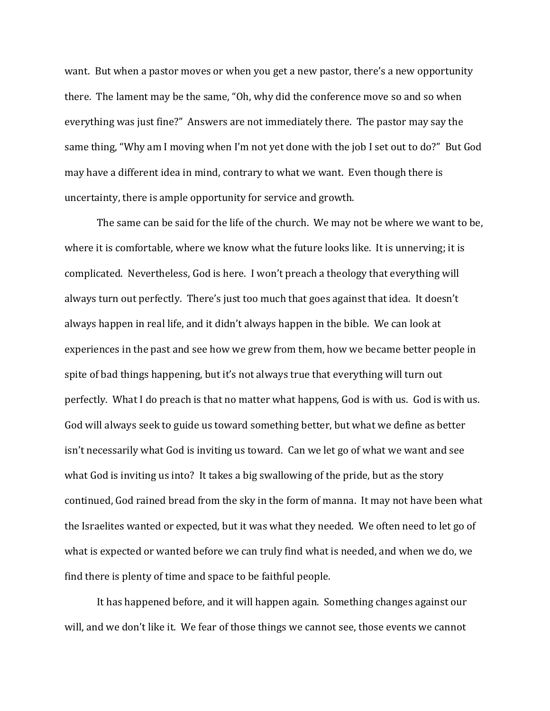want. But when a pastor moves or when you get a new pastor, there's a new opportunity there. The lament may be the same, "Oh, why did the conference move so and so when everything was just fine?" Answers are not immediately there. The pastor may say the same thing, "Why am I moving when I'm not yet done with the job I set out to do?" But God may have a different idea in mind, contrary to what we want. Even though there is uncertainty, there is ample opportunity for service and growth.

 The same can be said for the life of the church. We may not be where we want to be, where it is comfortable, where we know what the future looks like. It is unnerving; it is complicated. Nevertheless, God is here. I won't preach a theology that everything will always turn out perfectly. There's just too much that goes against that idea. It doesn't always happen in real life, and it didn't always happen in the bible. We can look at experiences in the past and see how we grew from them, how we became better people in spite of bad things happening, but it's not always true that everything will turn out perfectly. What I do preach is that no matter what happens, God is with us. God is with us. God will always seek to guide us toward something better, but what we define as better isn't necessarily what God is inviting us toward. Can we let go of what we want and see what God is inviting us into? It takes a big swallowing of the pride, but as the story continued, God rained bread from the sky in the form of manna. It may not have been what the Israelites wanted or expected, but it was what they needed. We often need to let go of what is expected or wanted before we can truly find what is needed, and when we do, we find there is plenty of time and space to be faithful people.

 It has happened before, and it will happen again. Something changes against our will, and we don't like it. We fear of those things we cannot see, those events we cannot